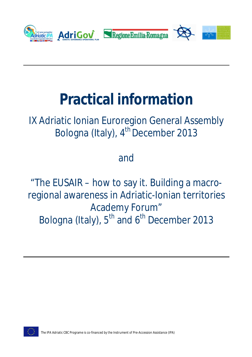

# **Practical information**

# IX Adriatic Ionian Euroregion General Assembly Bologna (Italy), 4<sup>th</sup> December 2013

# and

"The EUSAIR – how to say it. Building a macroregional awareness in Adriatic-Ionian territories Academy Forum" Bologna (Italy), 5<sup>th</sup> and 6<sup>th</sup> December 2013

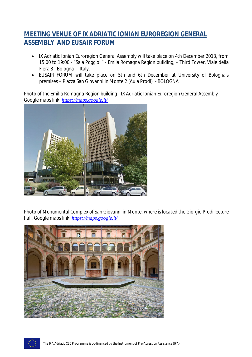### **MEETING VENUE OF IX ADRIATIC IONIAN EUROREGION GENERAL ASSEMBLY AND EUSAIR FORUM**

- IX Adriatic Ionian Euroregion General Assembly will take place on 4th December 2013, from 15:00 to 19:00 - "Sala Poggioli" - Emila Romagna Region building, – Third Tower, Viale della Fiera 8 - Bologna – Italy.
- EUSAIR FORUM will take place on 5th and 6th December at University of Bologna's premises – Piazza San Giovanni in Monte 2 (Aula Prodi) - BOLOGNA

*Photo of the Emilia Romagna Region building - IX Adriatic Ionian Euroregion General Assembly Google maps link: https://maps.google.it/*



*Photo of Monumental Complex of San Giovanni in Monte, where is located the Giorgio Prodi lecture hall. Google maps link: https://maps.google.it/*



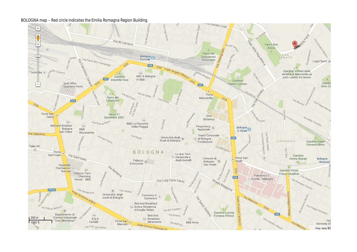#### *BOLOGNA map – Red circle indicates the Emilia Romagna Region Building.*

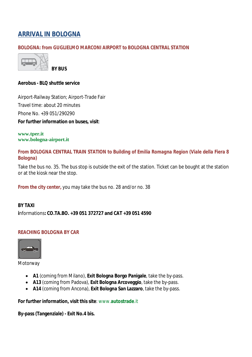# **ARRIVAL IN BOLOGNA**

#### *BOLOGNA: from GUGLIELMO MARCONI AIRPORT to BOLOGNA CENTRAL STATION*



**BY BUS** 

#### **Aerobus - BLQ shuttle service**

Airport-Railway Station; Airport-Trade Fair Travel time: about 20 minutes Phone No. +39 051/290290 **For further information on buses, visit**:

**www.tper.it www.bologna-airport.it**

*From BOLOGNA CENTRAL TRAIN STATION to Building of Emilia Romagna Region (Viale della Fiera 8 Bologna)* 

Take the bus no. 35. The bus stop is outside the exit of the station. Ticket can be bought at the station or at the kiosk near the stop.

*From the city center,* you may take the bus no. 28 and/or no. 38

#### **BY TAXI**

**i**nformations**: CO.TA.BO. +39 051 372727 and CAT +39 051 4590**

#### *REACHING BOLOGNA BY CAR*



**Motorway** 

- **A1** (coming from Milano), **Exit Bologna Borgo Panigale**, take the by-pass.
- **A13** (coming from Padova), **Exit Bologna Arcoveggio**, take the by-pass.
- **A14** (coming from Ancona), **Exit Bologna San Lazzaro**, take the by-pass.

**For further information, visit this site**: www.**autostrade**.it

**By-pass (Tangenziale) - Exit No.4 bis.**